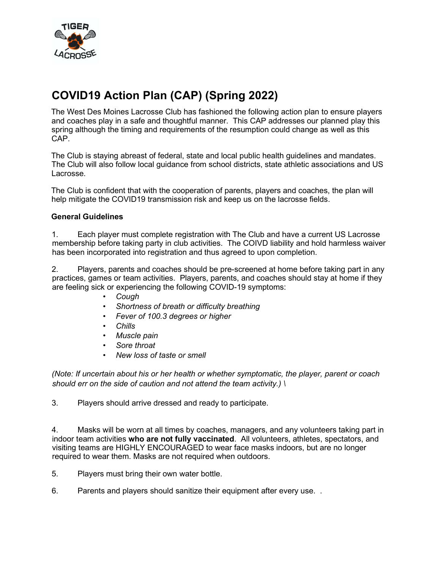

## COVID19 Action Plan (CAP) (Spring 2022)

The West Des Moines Lacrosse Club has fashioned the following action plan to ensure players and coaches play in a safe and thoughtful manner. This CAP addresses our planned play this spring although the timing and requirements of the resumption could change as well as this CAP.

The Club is staying abreast of federal, state and local public health guidelines and mandates. The Club will also follow local guidance from school districts, state athletic associations and US Lacrosse.

The Club is confident that with the cooperation of parents, players and coaches, the plan will help mitigate the COVID19 transmission risk and keep us on the lacrosse fields.

## General Guidelines

1. Each player must complete registration with The Club and have a current US Lacrosse membership before taking party in club activities. The COIVD liability and hold harmless waiver has been incorporated into registration and thus agreed to upon completion.

2. Players, parents and coaches should be pre-screened at home before taking part in any practices, games or team activities. Players, parents, and coaches should stay at home if they are feeling sick or experiencing the following COVID-19 symptoms:

- Cough
- Shortness of breath or difficulty breathing
- Fever of 100.3 degrees or higher
- Chills
- Muscle pain
- Sore throat
- New loss of taste or smell

(Note: If uncertain about his or her health or whether symptomatic, the player, parent or coach should err on the side of caution and not attend the team activity.)  $\setminus$ 

3. Players should arrive dressed and ready to participate.

4. Masks will be worn at all times by coaches, managers, and any volunteers taking part in indoor team activities who are not fully vaccinated. All volunteers, athletes, spectators, and visiting teams are HIGHLY ENCOURAGED to wear face masks indoors, but are no longer required to wear them. Masks are not required when outdoors.

5. Players must bring their own water bottle.

6. Parents and players should sanitize their equipment after every use. .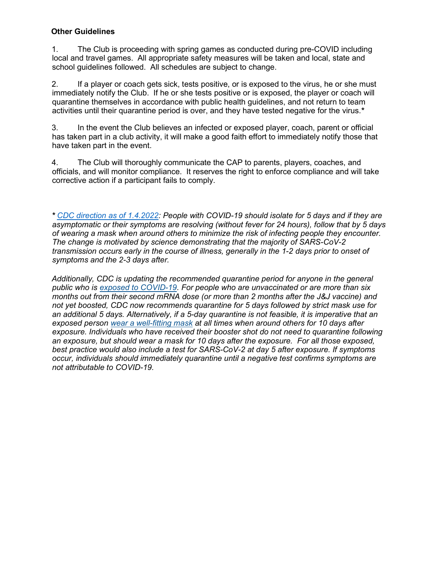## Other Guidelines

1. The Club is proceeding with spring games as conducted during pre-COVID including local and travel games. All appropriate safety measures will be taken and local, state and school guidelines followed. All schedules are subject to change.

2. If a player or coach gets sick, tests positive, or is exposed to the virus, he or she must immediately notify the Club. If he or she tests positive or is exposed, the player or coach will quarantine themselves in accordance with public health guidelines, and not return to team activities until their quarantine period is over, and they have tested negative for the virus.\*

3. In the event the Club believes an infected or exposed player, coach, parent or official has taken part in a club activity, it will make a good faith effort to immediately notify those that have taken part in the event.

4. The Club will thoroughly communicate the CAP to parents, players, coaches, and officials, and will monitor compliance. It reserves the right to enforce compliance and will take corrective action if a participant fails to comply.

\* CDC direction as of 1.4.2022: People with COVID-19 should isolate for 5 days and if they are asymptomatic or their symptoms are resolving (without fever for 24 hours), follow that by 5 days of wearing a mask when around others to minimize the risk of infecting people they encounter. The change is motivated by science demonstrating that the majority of SARS-CoV-2 transmission occurs early in the course of illness, generally in the 1-2 days prior to onset of symptoms and the 2-3 days after.

Additionally, CDC is updating the recommended quarantine period for anyone in the general public who is exposed to COVID-19. For people who are unvaccinated or are more than six months out from their second mRNA dose (or more than 2 months after the J&J vaccine) and not yet boosted, CDC now recommends quarantine for 5 days followed by strict mask use for an additional 5 days. Alternatively, if a 5-day quarantine is not feasible, it is imperative that an exposed person wear a well-fitting mask at all times when around others for 10 days after exposure. Individuals who have received their booster shot do not need to quarantine following an exposure, but should wear a mask for 10 days after the exposure. For all those exposed, best practice would also include a test for SARS-CoV-2 at day 5 after exposure. If symptoms occur, individuals should immediately quarantine until a negative test confirms symptoms are not attributable to COVID-19.